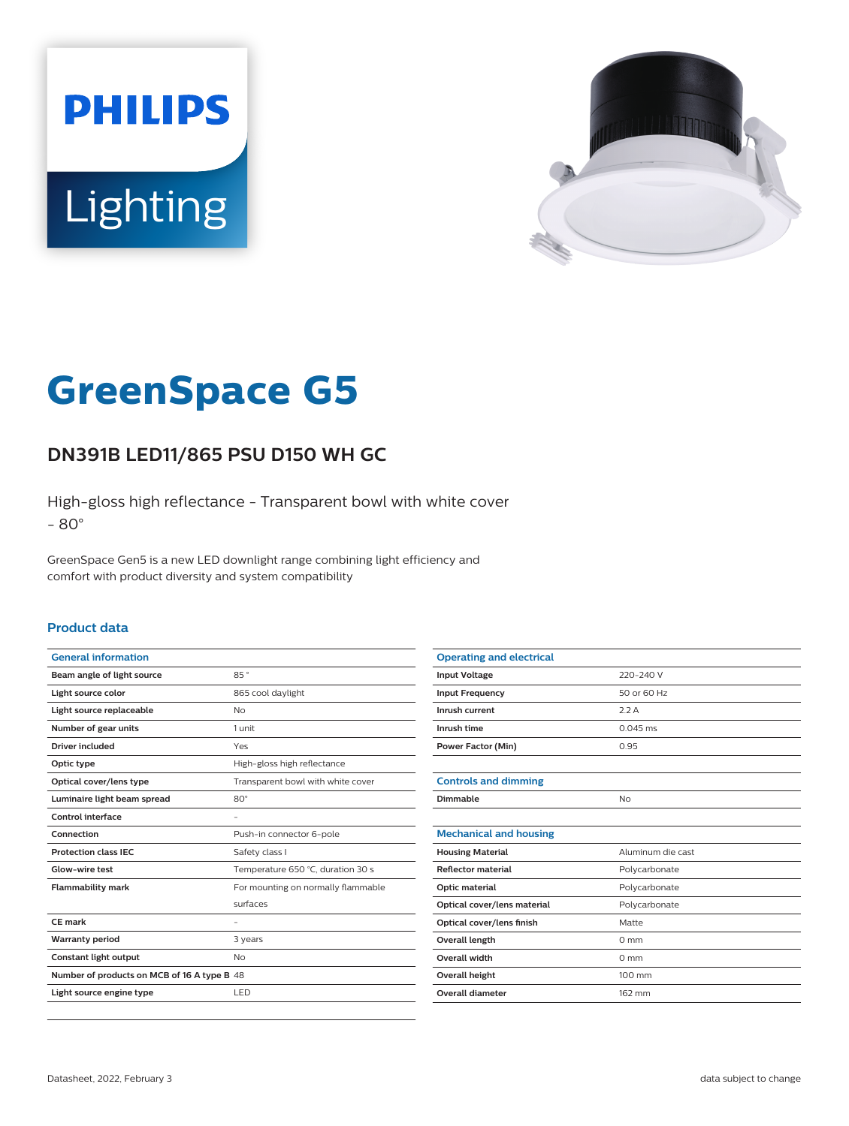



# **GreenSpace G5**

## **DN391B LED11/865 PSU D150 WH GC**

High-gloss high reflectance - Transparent bowl with white cover - 80°

GreenSpace Gen5 is a new LED downlight range combining light efficiency and comfort with product diversity and system compatibility

#### **Product data**

| <b>General information</b>                  |                                    |
|---------------------------------------------|------------------------------------|
| Beam angle of light source                  | 85°                                |
| Light source color                          | 865 cool daylight                  |
| Light source replaceable                    | No                                 |
| Number of gear units                        | 1 unit                             |
| Driver included                             | Yes                                |
| Optic type                                  | High-gloss high reflectance        |
| Optical cover/lens type                     | Transparent bowl with white cover  |
| Luminaire light beam spread                 | $80^\circ$                         |
| Control interface                           |                                    |
| Connection                                  | Push-in connector 6-pole           |
| <b>Protection class IEC</b>                 | Safety class I                     |
| <b>Glow-wire test</b>                       | Temperature 650 °C, duration 30 s  |
| <b>Flammability mark</b>                    | For mounting on normally flammable |
|                                             | surfaces                           |
| CE mark                                     |                                    |
| <b>Warranty period</b>                      | 3 years                            |
| <b>Constant light output</b>                | No                                 |
| Number of products on MCB of 16 A type B 48 |                                    |
| Light source engine type                    | LED                                |

| <b>Operating and electrical</b> |                   |
|---------------------------------|-------------------|
| <b>Input Voltage</b>            | 220-240 V         |
| <b>Input Frequency</b>          | 50 or 60 Hz       |
| Inrush current                  | 2.2A              |
| Inrush time                     | $0.045$ ms        |
| <b>Power Factor (Min)</b>       | 0.95              |
|                                 |                   |
| <b>Controls and dimming</b>     |                   |
| Dimmable                        | <b>No</b>         |
|                                 |                   |
| <b>Mechanical and housing</b>   |                   |
| <b>Housing Material</b>         | Aluminum die cast |
| <b>Reflector material</b>       | Polycarbonate     |
| Optic material                  | Polycarbonate     |
| Optical cover/lens material     | Polycarbonate     |
| Optical cover/lens finish       | Matte             |
| Overall length                  | $0 \text{ mm}$    |
| Overall width                   | $0 \text{ mm}$    |
| Overall height                  | 100 mm            |
| <b>Overall diameter</b>         | 162 mm            |
|                                 |                   |